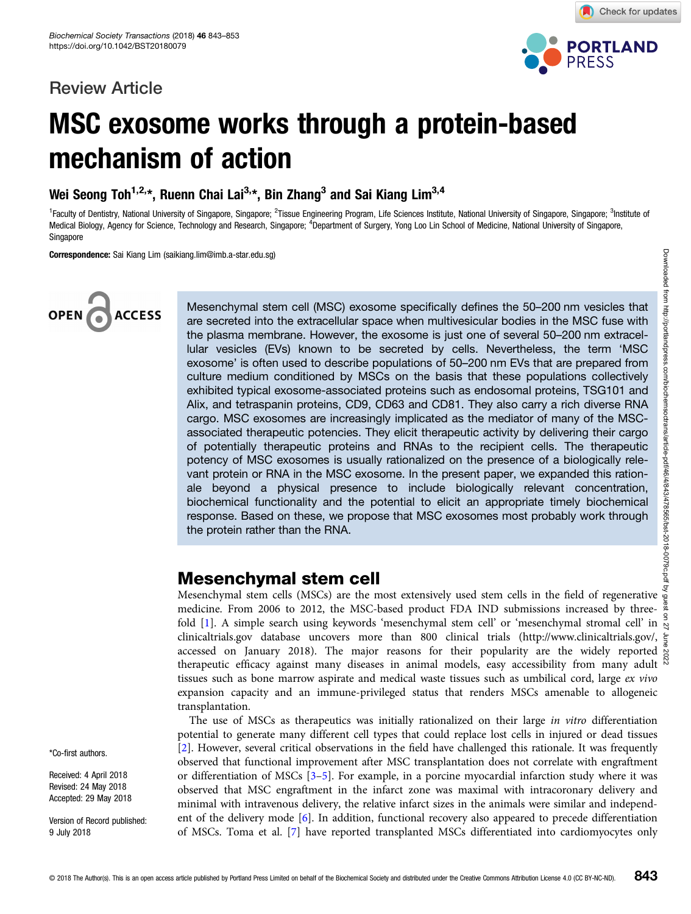## Review Article



Check for updates

# MSC exosome works through a protein-based mechanism of action

Wei Seong Toh<sup>1,2,\*</sup>, Ruenn Chai Lai<sup>3,\*</sup>, Bin Zhang<sup>3</sup> and Sai Kiang Lim<sup>3,4</sup>

<sup>1</sup>Faculty of Dentistry, National University of Singapore, Singapore; <sup>2</sup>Tissue Engineering Program, Life Sciences Institute, National University of Singapore, Singapore; <sup>3</sup>Institute of Medical Biology, Agency for Science, Technology and Research, Singapore; <sup>4</sup>Department of Surgery, Yong Loo Lin School of Medicine, National University of Singapore, Department of Surgery, Yong Loo Lin School of Medicine, National University of Singapore, Singapore

Correspondence: Sai Kiang Lim (saikiang.lim@imb.a-star.edu.sg)



Mesenchymal stem cell (MSC) exosome specifically defines the 50–200 nm vesicles that are secreted into the extracellular space when multivesicular bodies in the MSC fuse with the plasma membrane. However, the exosome is just one of several 50–200 nm extracellular vesicles (EVs) known to be secreted by cells. Nevertheless, the term 'MSC exosome' is often used to describe populations of 50–200 nm EVs that are prepared from culture medium conditioned by MSCs on the basis that these populations collectively exhibited typical exosome-associated proteins such as endosomal proteins, TSG101 and Alix, and tetraspanin proteins, CD9, CD63 and CD81. They also carry a rich diverse RNA cargo. MSC exosomes are increasingly implicated as the mediator of many of the MSCassociated therapeutic potencies. They elicit therapeutic activity by delivering their cargo of potentially therapeutic proteins and RNAs to the recipient cells. The therapeutic potency of MSC exosomes is usually rationalized on the presence of a biologically relevant protein or RNA in the MSC exosome. In the present paper, we expanded this rationale beyond a physical presence to include biologically relevant concentration, biochemical functionality and the potential to elicit an appropriate timely biochemical response. Based on these, we propose that MSC exosomes most probably work through the protein rather than the RNA.

# Mesenchymal stem cell

Mesenchymal stem cells (MSCs) are the most extensively used stem cells in the field of regenerative medicine. From 2006 to 2012, the MSC-based product FDA IND submissions increased by threefold [\[1](#page-7-0)]. A simple search using keywords 'mesenchymal stem cell' or 'mesenchymal stromal cell' in clinicaltrials.gov database uncovers more than 800 clinical trials ([http://www.clinicaltrials.gov/,](http://www.clinicaltrials.gov/) accessed on January 2018). The major reasons for their popularity are the widely reported  $\frac{8}{9}$ therapeutic efficacy against many diseases in animal models, easy accessibility from many adult  $\frac{8}{10}$ tissues such as bone marrow aspirate and medical waste tissues such as umbilical cord, large ex vivo expansion capacity and an immune-privileged status that renders MSCs amenable to allogeneic transplantation.

The use of MSCs as therapeutics was initially rationalized on their large in vitro differentiation potential to generate many different cell types that could replace lost cells in injured or dead tissues [[2](#page-7-0)]. However, several critical observations in the field have challenged this rationale. It was frequently observed that functional improvement after MSC transplantation does not correlate with engraftment or differentiation of MSCs [[3](#page-7-0)–[5](#page-7-0)]. For example, in a porcine myocardial infarction study where it was observed that MSC engraftment in the infarct zone was maximal with intracoronary delivery and minimal with intravenous delivery, the relative infarct sizes in the animals were similar and independent of the delivery mode [\[6](#page-7-0)]. In addition, functional recovery also appeared to precede differentiation of MSCs. Toma et al. [[7\]](#page-7-0) have reported transplanted MSCs differentiated into cardiomyocytes only

\*Co-first authors.

Received: 4 April 2018 Revised: 24 May 2018 Accepted: 29 May 2018

Version of Record published: 9 July 2018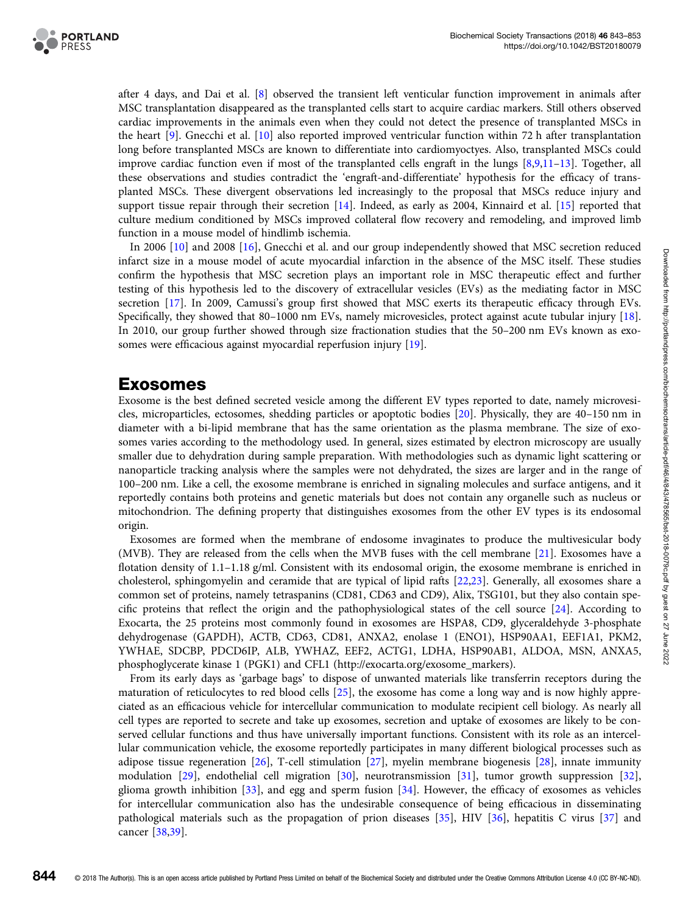

after 4 days, and Dai et al. [[8\]](#page-7-0) observed the transient left venticular function improvement in animals after MSC transplantation disappeared as the transplanted cells start to acquire cardiac markers. Still others observed cardiac improvements in the animals even when they could not detect the presence of transplanted MSCs in the heart [[9\]](#page-7-0). Gnecchi et al. [[10](#page-7-0)] also reported improved ventricular function within 72 h after transplantation long before transplanted MSCs are known to differentiate into cardiomyoctyes. Also, transplanted MSCs could improve cardiac function even if most of the transplanted cells engraft in the lungs [[8,9,11](#page-7-0)–[13](#page-7-0)]. Together, all these observations and studies contradict the 'engraft-and-differentiate' hypothesis for the efficacy of transplanted MSCs. These divergent observations led increasingly to the proposal that MSCs reduce injury and support tissue repair through their secretion [\[14\]](#page-7-0). Indeed, as early as 2004, Kinnaird et al. [[15](#page-7-0)] reported that culture medium conditioned by MSCs improved collateral flow recovery and remodeling, and improved limb function in a mouse model of hindlimb ischemia.

In 2006 [[10](#page-7-0)] and 2008 [\[16](#page-7-0)], Gnecchi et al. and our group independently showed that MSC secretion reduced infarct size in a mouse model of acute myocardial infarction in the absence of the MSC itself. These studies confirm the hypothesis that MSC secretion plays an important role in MSC therapeutic effect and further testing of this hypothesis led to the discovery of extracellular vesicles (EVs) as the mediating factor in MSC secretion [[17](#page-7-0)]. In 2009, Camussi's group first showed that MSC exerts its therapeutic efficacy through EVs. Specifically, they showed that 80–1000 nm EVs, namely microvesicles, protect against acute tubular injury [[18](#page-7-0)]. In 2010, our group further showed through size fractionation studies that the 50–200 nm EVs known as exosomes were efficacious against myocardial reperfusion injury [[19](#page-7-0)].

## Exosomes

Exosome is the best defined secreted vesicle among the different EV types reported to date, namely microvesicles, microparticles, ectosomes, shedding particles or apoptotic bodies [\[20\]](#page-7-0). Physically, they are 40–150 nm in diameter with a bi-lipid membrane that has the same orientation as the plasma membrane. The size of exosomes varies according to the methodology used. In general, sizes estimated by electron microscopy are usually smaller due to dehydration during sample preparation. With methodologies such as dynamic light scattering or nanoparticle tracking analysis where the samples were not dehydrated, the sizes are larger and in the range of 100–200 nm. Like a cell, the exosome membrane is enriched in signaling molecules and surface antigens, and it reportedly contains both proteins and genetic materials but does not contain any organelle such as nucleus or mitochondrion. The defining property that distinguishes exosomes from the other EV types is its endosomal origin.

Exosomes are formed when the membrane of endosome invaginates to produce the multivesicular body (MVB). They are released from the cells when the MVB fuses with the cell membrane [\[21](#page-7-0)]. Exosomes have a flotation density of 1.1–1.18 g/ml. Consistent with its endosomal origin, the exosome membrane is enriched in cholesterol, sphingomyelin and ceramide that are typical of lipid rafts [\[22,23\]](#page-7-0). Generally, all exosomes share a common set of proteins, namely tetraspanins (CD81, CD63 and CD9), Alix, TSG101, but they also contain specific proteins that reflect the origin and the pathophysiological states of the cell source [\[24](#page-7-0)]. According to Exocarta, the 25 proteins most commonly found in exosomes are HSPA8, CD9, glyceraldehyde 3-phosphate dehydrogenase (GAPDH), ACTB, CD63, CD81, ANXA2, enolase 1 (ENO1), HSP90AA1, EEF1A1, PKM2, YWHAE, SDCBP, PDCD6IP, ALB, YWHAZ, EEF2, ACTG1, LDHA, HSP90AB1, ALDOA, MSN, ANXA5, phosphoglycerate kinase 1 (PGK1) and CFL1 ([http://exocarta.org/exosome\\_markers](http://exocarta.org/exosome_markers)).

From its early days as 'garbage bags' to dispose of unwanted materials like transferrin receptors during the maturation of reticulocytes to red blood cells [[25](#page-7-0)], the exosome has come a long way and is now highly appreciated as an efficacious vehicle for intercellular communication to modulate recipient cell biology. As nearly all cell types are reported to secrete and take up exosomes, secretion and uptake of exosomes are likely to be conserved cellular functions and thus have universally important functions. Consistent with its role as an intercellular communication vehicle, the exosome reportedly participates in many different biological processes such as adipose tissue regeneration [[26](#page-8-0)], T-cell stimulation [[27\]](#page-8-0), myelin membrane biogenesis [[28](#page-8-0)], innate immunity modulation [\[29\]](#page-8-0), endothelial cell migration [[30](#page-8-0)], neurotransmission [\[31\]](#page-8-0), tumor growth suppression [[32](#page-8-0)], glioma growth inhibition [[33](#page-8-0)], and egg and sperm fusion [\[34\]](#page-8-0). However, the efficacy of exosomes as vehicles for intercellular communication also has the undesirable consequence of being efficacious in disseminating pathological materials such as the propagation of prion diseases [\[35\]](#page-8-0), HIV [[36](#page-8-0)], hepatitis C virus [\[37\]](#page-8-0) and cancer [\[38,39\]](#page-8-0).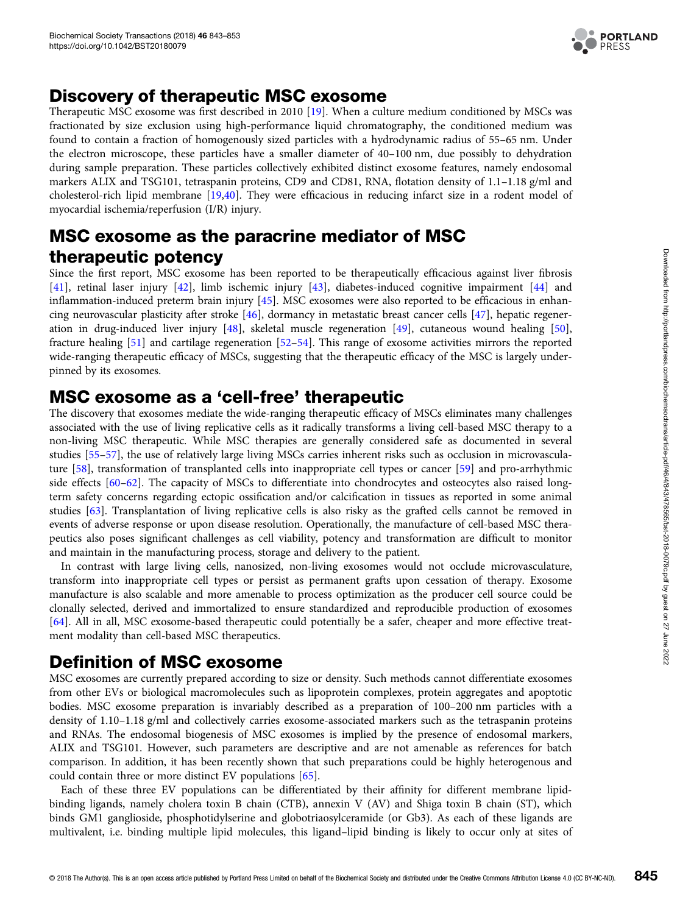

# Discovery of therapeutic MSC exosome

Therapeutic MSC exosome was first described in 2010 [[19](#page-7-0)]. When a culture medium conditioned by MSCs was fractionated by size exclusion using high-performance liquid chromatography, the conditioned medium was found to contain a fraction of homogenously sized particles with a hydrodynamic radius of 55–65 nm. Under the electron microscope, these particles have a smaller diameter of 40–100 nm, due possibly to dehydration during sample preparation. These particles collectively exhibited distinct exosome features, namely endosomal markers ALIX and TSG101, tetraspanin proteins, CD9 and CD81, RNA, flotation density of 1.1-1.18 g/ml and cholesterol-rich lipid membrane [\[19](#page-7-0)[,40\]](#page-8-0). They were efficacious in reducing infarct size in a rodent model of myocardial ischemia/reperfusion (I/R) injury.

# MSC exosome as the paracrine mediator of MSC therapeutic potency

Since the first report, MSC exosome has been reported to be therapeutically efficacious against liver fibrosis [[41\]](#page-8-0), retinal laser injury [[42\]](#page-8-0), limb ischemic injury [\[43\]](#page-8-0), diabetes-induced cognitive impairment [\[44\]](#page-8-0) and inflammation-induced preterm brain injury [\[45\]](#page-8-0). MSC exosomes were also reported to be efficacious in enhancing neurovascular plasticity after stroke [\[46\]](#page-8-0), dormancy in metastatic breast cancer cells [\[47](#page-8-0)], hepatic regeneration in drug-induced liver injury [[48](#page-8-0)], skeletal muscle regeneration [[49](#page-8-0)], cutaneous wound healing [[50\]](#page-8-0), fracture healing [[51](#page-8-0)] and cartilage regeneration [[52](#page-8-0)–[54\]](#page-8-0). This range of exosome activities mirrors the reported wide-ranging therapeutic efficacy of MSCs, suggesting that the therapeutic efficacy of the MSC is largely underpinned by its exosomes.

# MSC exosome as a 'cell-free' therapeutic

The discovery that exosomes mediate the wide-ranging therapeutic efficacy of MSCs eliminates many challenges associated with the use of living replicative cells as it radically transforms a living cell-based MSC therapy to a non-living MSC therapeutic. While MSC therapies are generally considered safe as documented in several studies [\[55](#page-8-0)–[57\]](#page-9-0), the use of relatively large living MSCs carries inherent risks such as occlusion in microvasculature [\[58\]](#page-9-0), transformation of transplanted cells into inappropriate cell types or cancer [\[59\]](#page-9-0) and pro-arrhythmic side effects [\[60](#page-9-0)–[62](#page-9-0)]. The capacity of MSCs to differentiate into chondrocytes and osteocytes also raised longterm safety concerns regarding ectopic ossification and/or calcification in tissues as reported in some animal studies [\[63\]](#page-9-0). Transplantation of living replicative cells is also risky as the grafted cells cannot be removed in events of adverse response or upon disease resolution. Operationally, the manufacture of cell-based MSC therapeutics also poses significant challenges as cell viability, potency and transformation are difficult to monitor and maintain in the manufacturing process, storage and delivery to the patient.

In contrast with large living cells, nanosized, non-living exosomes would not occlude microvasculature, transform into inappropriate cell types or persist as permanent grafts upon cessation of therapy. Exosome manufacture is also scalable and more amenable to process optimization as the producer cell source could be clonally selected, derived and immortalized to ensure standardized and reproducible production of exosomes [[64\]](#page-9-0). All in all, MSC exosome-based therapeutic could potentially be a safer, cheaper and more effective treatment modality than cell-based MSC therapeutics.

# Definition of MSC exosome

MSC exosomes are currently prepared according to size or density. Such methods cannot differentiate exosomes from other EVs or biological macromolecules such as lipoprotein complexes, protein aggregates and apoptotic bodies. MSC exosome preparation is invariably described as a preparation of 100–200 nm particles with a density of 1.10–1.18 g/ml and collectively carries exosome-associated markers such as the tetraspanin proteins and RNAs. The endosomal biogenesis of MSC exosomes is implied by the presence of endosomal markers, ALIX and TSG101. However, such parameters are descriptive and are not amenable as references for batch comparison. In addition, it has been recently shown that such preparations could be highly heterogenous and could contain three or more distinct EV populations [[65](#page-9-0)].

Each of these three EV populations can be differentiated by their affinity for different membrane lipidbinding ligands, namely cholera toxin B chain (CTB), annexin V (AV) and Shiga toxin B chain (ST), which binds GM1 ganglioside, phosphotidylserine and globotriaosylceramide (or Gb3). As each of these ligands are multivalent, i.e. binding multiple lipid molecules, this ligand–lipid binding is likely to occur only at sites of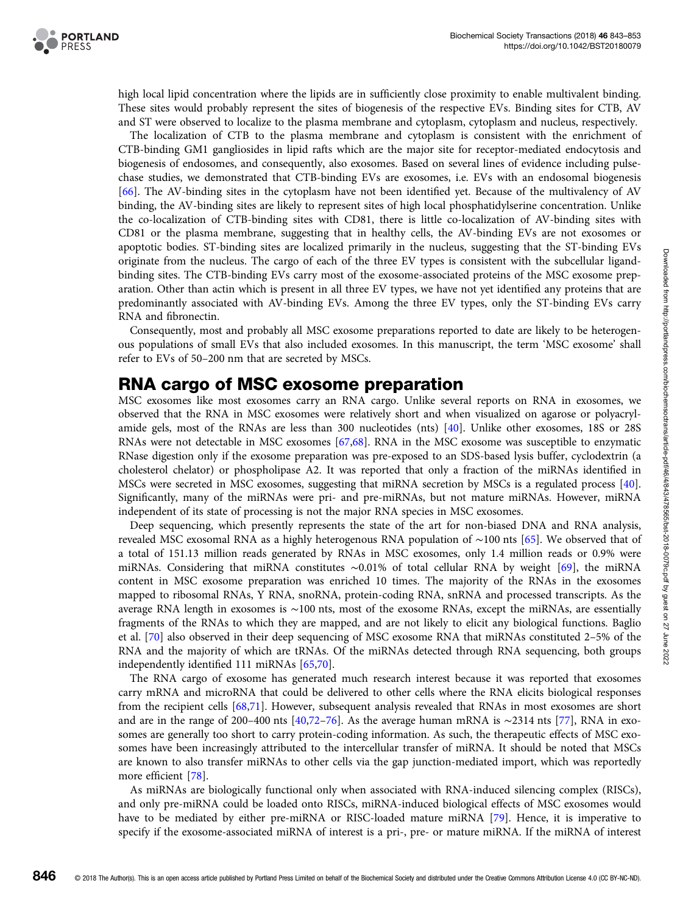

high local lipid concentration where the lipids are in sufficiently close proximity to enable multivalent binding. These sites would probably represent the sites of biogenesis of the respective EVs. Binding sites for CTB, AV and ST were observed to localize to the plasma membrane and cytoplasm, cytoplasm and nucleus, respectively.

The localization of CTB to the plasma membrane and cytoplasm is consistent with the enrichment of CTB-binding GM1 gangliosides in lipid rafts which are the major site for receptor-mediated endocytosis and biogenesis of endosomes, and consequently, also exosomes. Based on several lines of evidence including pulsechase studies, we demonstrated that CTB-binding EVs are exosomes, i.e. EVs with an endosomal biogenesis [[66](#page-9-0)]. The AV-binding sites in the cytoplasm have not been identified yet. Because of the multivalency of AV binding, the AV-binding sites are likely to represent sites of high local phosphatidylserine concentration. Unlike the co-localization of CTB-binding sites with CD81, there is little co-localization of AV-binding sites with CD81 or the plasma membrane, suggesting that in healthy cells, the AV-binding EVs are not exosomes or apoptotic bodies. ST-binding sites are localized primarily in the nucleus, suggesting that the ST-binding EVs originate from the nucleus. The cargo of each of the three EV types is consistent with the subcellular ligandbinding sites. The CTB-binding EVs carry most of the exosome-associated proteins of the MSC exosome preparation. Other than actin which is present in all three EV types, we have not yet identified any proteins that are predominantly associated with AV-binding EVs. Among the three EV types, only the ST-binding EVs carry RNA and fibronectin.

Consequently, most and probably all MSC exosome preparations reported to date are likely to be heterogenous populations of small EVs that also included exosomes. In this manuscript, the term 'MSC exosome' shall refer to EVs of 50–200 nm that are secreted by MSCs.

## RNA cargo of MSC exosome preparation

MSC exosomes like most exosomes carry an RNA cargo. Unlike several reports on RNA in exosomes, we observed that the RNA in MSC exosomes were relatively short and when visualized on agarose or polyacrylamide gels, most of the RNAs are less than 300 nucleotides (nts) [\[40\]](#page-8-0). Unlike other exosomes, 18S or 28S RNAs were not detectable in MSC exosomes [\[67,68\]](#page-9-0). RNA in the MSC exosome was susceptible to enzymatic RNase digestion only if the exosome preparation was pre-exposed to an SDS-based lysis buffer, cyclodextrin (a cholesterol chelator) or phospholipase A2. It was reported that only a fraction of the miRNAs identified in MSCs were secreted in MSC exosomes, suggesting that miRNA secretion by MSCs is a regulated process [[40](#page-8-0)]. Significantly, many of the miRNAs were pri- and pre-miRNAs, but not mature miRNAs. However, miRNA independent of its state of processing is not the major RNA species in MSC exosomes.

Deep sequencing, which presently represents the state of the art for non-biased DNA and RNA analysis, revealed MSC exosomal RNA as a highly heterogenous RNA population of ∼100 nts [\[65\]](#page-9-0). We observed that of a total of 151.13 million reads generated by RNAs in MSC exosomes, only 1.4 million reads or 0.9% were miRNAs. Considering that miRNA constitutes ∼0.01% of total cellular RNA by weight [[69](#page-9-0)], the miRNA content in MSC exosome preparation was enriched 10 times. The majority of the RNAs in the exosomes mapped to ribosomal RNAs, Y RNA, snoRNA, protein-coding RNA, snRNA and processed transcripts. As the average RNA length in exosomes is ∼100 nts, most of the exosome RNAs, except the miRNAs, are essentially fragments of the RNAs to which they are mapped, and are not likely to elicit any biological functions. Baglio et al. [\[70\]](#page-9-0) also observed in their deep sequencing of MSC exosome RNA that miRNAs constituted 2–5% of the RNA and the majority of which are tRNAs. Of the miRNAs detected through RNA sequencing, both groups independently identified 111 miRNAs [[65,70\]](#page-9-0).

The RNA cargo of exosome has generated much research interest because it was reported that exosomes carry mRNA and microRNA that could be delivered to other cells where the RNA elicits biological responses from the recipient cells [\[68,71\]](#page-9-0). However, subsequent analysis revealed that RNAs in most exosomes are short and are in the range of 200–400 nts [\[40](#page-8-0)[,72](#page-9-0)–[76\]](#page-9-0). As the average human mRNA is ∼2314 nts [[77\]](#page-9-0), RNA in exosomes are generally too short to carry protein-coding information. As such, the therapeutic effects of MSC exosomes have been increasingly attributed to the intercellular transfer of miRNA. It should be noted that MSCs are known to also transfer miRNAs to other cells via the gap junction-mediated import, which was reportedly more efficient [[78](#page-9-0)].

As miRNAs are biologically functional only when associated with RNA-induced silencing complex (RISCs), and only pre-miRNA could be loaded onto RISCs, miRNA-induced biological effects of MSC exosomes would have to be mediated by either pre-miRNA or RISC-loaded mature miRNA [\[79](#page-9-0)]. Hence, it is imperative to specify if the exosome-associated miRNA of interest is a pri-, pre- or mature miRNA. If the miRNA of interest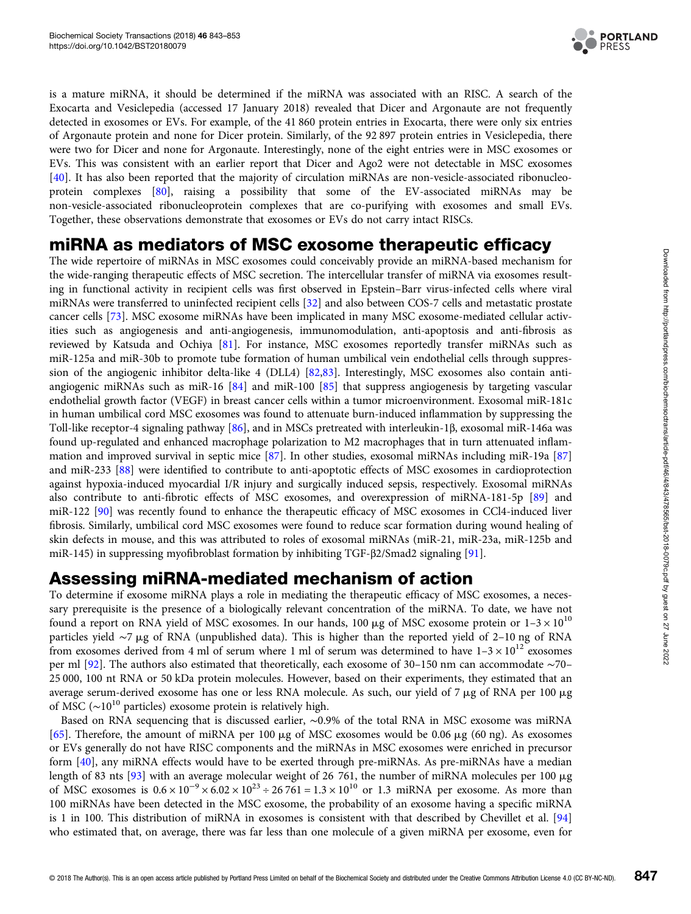

is a mature miRNA, it should be determined if the miRNA was associated with an RISC. A search of the Exocarta and Vesiclepedia (accessed 17 January 2018) revealed that Dicer and Argonaute are not frequently detected in exosomes or EVs. For example, of the 41 860 protein entries in Exocarta, there were only six entries of Argonaute protein and none for Dicer protein. Similarly, of the 92 897 protein entries in Vesiclepedia, there were two for Dicer and none for Argonaute. Interestingly, none of the eight entries were in MSC exosomes or EVs. This was consistent with an earlier report that Dicer and Ago2 were not detectable in MSC exosomes [[40\]](#page-8-0). It has also been reported that the majority of circulation miRNAs are non-vesicle-associated ribonucleoprotein complexes [\[80\]](#page-9-0), raising a possibility that some of the EV-associated miRNAs may be non-vesicle-associated ribonucleoprotein complexes that are co-purifying with exosomes and small EVs. Together, these observations demonstrate that exosomes or EVs do not carry intact RISCs.

# miRNA as mediators of MSC exosome therapeutic efficacy

The wide repertoire of miRNAs in MSC exosomes could conceivably provide an miRNA-based mechanism for the wide-ranging therapeutic effects of MSC secretion. The intercellular transfer of miRNA via exosomes resulting in functional activity in recipient cells was first observed in Epstein–Barr virus-infected cells where viral miRNAs were transferred to uninfected recipient cells [\[32\]](#page-8-0) and also between COS-7 cells and metastatic prostate cancer cells [\[73\]](#page-9-0). MSC exosome miRNAs have been implicated in many MSC exosome-mediated cellular activities such as angiogenesis and anti-angiogenesis, immunomodulation, anti-apoptosis and anti-fibrosis as reviewed by Katsuda and Ochiya [[81](#page-9-0)]. For instance, MSC exosomes reportedly transfer miRNAs such as miR-125a and miR-30b to promote tube formation of human umbilical vein endothelial cells through suppression of the angiogenic inhibitor delta-like 4 (DLL4) [\[82,83\]](#page-9-0). Interestingly, MSC exosomes also contain antiangiogenic miRNAs such as miR-16 [\[84\]](#page-9-0) and miR-100 [[85](#page-9-0)] that suppress angiogenesis by targeting vascular endothelial growth factor (VEGF) in breast cancer cells within a tumor microenvironment. Exosomal miR-181c in human umbilical cord MSC exosomes was found to attenuate burn-induced inflammation by suppressing the Toll-like receptor-4 signaling pathway [[86](#page-10-0)], and in MSCs pretreated with interleukin-1β, exosomal miR-146a was found up-regulated and enhanced macrophage polarization to M2 macrophages that in turn attenuated inflammation and improved survival in septic mice [\[87](#page-10-0)]. In other studies, exosomal miRNAs including miR-19a [\[87\]](#page-10-0) and miR-233 [[88](#page-10-0)] were identified to contribute to anti-apoptotic effects of MSC exosomes in cardioprotection against hypoxia-induced myocardial I/R injury and surgically induced sepsis, respectively. Exosomal miRNAs also contribute to anti-fibrotic effects of MSC exosomes, and overexpression of miRNA-181-5p [[89](#page-10-0)] and miR-122 [\[90\]](#page-10-0) was recently found to enhance the therapeutic efficacy of MSC exosomes in CCl4-induced liver fibrosis. Similarly, umbilical cord MSC exosomes were found to reduce scar formation during wound healing of skin defects in mouse, and this was attributed to roles of exosomal miRNAs (miR-21, miR-23a, miR-125b and miR-145) in suppressing myofibroblast formation by inhibiting TGF-β2/Smad2 signaling [[91](#page-10-0)].

# Assessing miRNA-mediated mechanism of action

To determine if exosome miRNA plays a role in mediating the therapeutic efficacy of MSC exosomes, a necessary prerequisite is the presence of a biologically relevant concentration of the miRNA. To date, we have not found a report on RNA yield of MSC exosomes. In our hands, 100  $\mu$ g of MSC exosome protein or  $1-3 \times 10^{10}$ particles yield ∼7 mg of RNA (unpublished data). This is higher than the reported yield of 2–10 ng of RNA from exosomes derived from 4 ml of serum where 1 ml of serum was determined to have  $1-3 \times 10^{12}$  exosomes per ml [[92](#page-10-0)]. The authors also estimated that theoretically, each exosome of 30–150 nm can accommodate ∼70– 25 000, 100 nt RNA or 50 kDa protein molecules. However, based on their experiments, they estimated that an average serum-derived exosome has one or less RNA molecule. As such, our yield of 7 µg of RNA per 100 µg of MSC ( $\sim$ 10<sup>10</sup> particles) exosome protein is relatively high.

Based on RNA sequencing that is discussed earlier, ∼0.9% of the total RNA in MSC exosome was miRNA [[65\]](#page-9-0). Therefore, the amount of miRNA per 100  $\mu$ g of MSC exosomes would be 0.06  $\mu$ g (60 ng). As exosomes or EVs generally do not have RISC components and the miRNAs in MSC exosomes were enriched in precursor form [\[40\]](#page-8-0), any miRNA effects would have to be exerted through pre-miRNAs. As pre-miRNAs have a median length of 83 nts [[93](#page-10-0)] with an average molecular weight of 26 761, the number of miRNA molecules per 100  $\mu$ g of MSC exosomes is  $0.6 \times 10^{-9} \times 6.02 \times 10^{23} \div 26761 = 1.3 \times 10^{10}$  or 1.3 miRNA per exosome. As more than 100 miRNAs have been detected in the MSC exosome, the probability of an exosome having a specific miRNA is 1 in 100. This distribution of miRNA in exosomes is consistent with that described by Chevillet et al. [\[94\]](#page-10-0) who estimated that, on average, there was far less than one molecule of a given miRNA per exosome, even for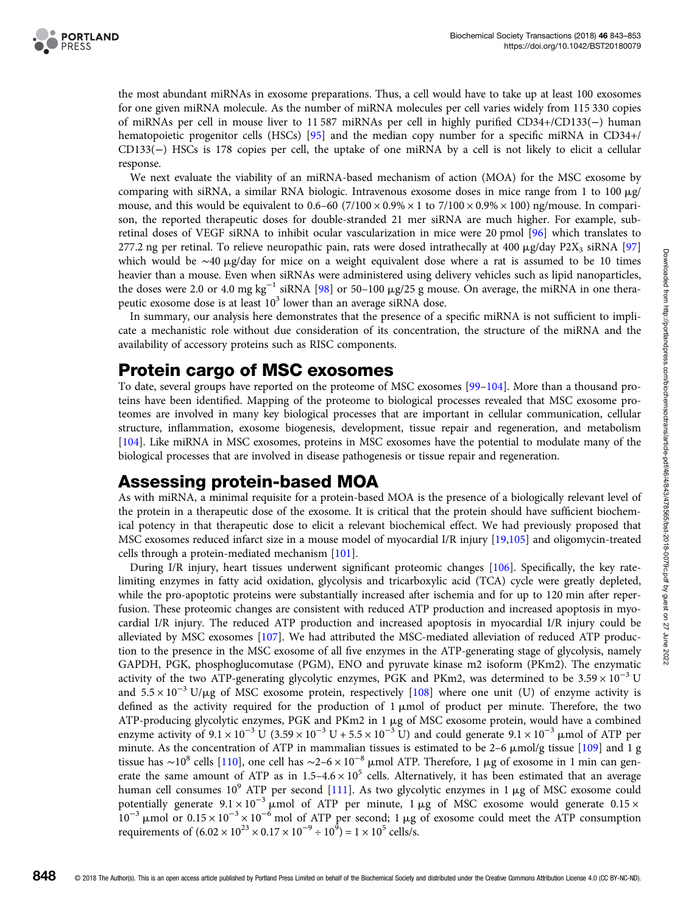the most abundant miRNAs in exosome preparations. Thus, a cell would have to take up at least 100 exosomes for one given miRNA molecule. As the number of miRNA molecules per cell varies widely from 115 330 copies of miRNAs per cell in mouse liver to 11 587 miRNAs per cell in highly purified CD34+/CD133(−) human hematopoietic progenitor cells (HSCs) [[95](#page-10-0)] and the median copy number for a specific miRNA in CD34+/ CD133(−) HSCs is 178 copies per cell, the uptake of one miRNA by a cell is not likely to elicit a cellular response.

We next evaluate the viability of an miRNA-based mechanism of action (MOA) for the MSC exosome by comparing with siRNA, a similar RNA biologic. Intravenous exosome doses in mice range from 1 to 100  $\mu$ g/ mouse, and this would be equivalent to  $0.6-60$  (7/100  $\times$  0.9%  $\times$  1 to 7/100  $\times$  0.9%  $\times$  100) ng/mouse. In comparison, the reported therapeutic doses for double-stranded 21 mer siRNA are much higher. For example, subretinal doses of VEGF siRNA to inhibit ocular vascularization in mice were 20 pmol [[96](#page-10-0)] which translates to 277.2 ng per retinal. To relieve neuropathic pain, rats were dosed intrathecally at 400  $\mu$ g/day P2X<sub>3</sub> siRNA [[97](#page-10-0)] which would be ∼40 μg/day for mice on a weight equivalent dose where a rat is assumed to be 10 times heavier than a mouse. Even when siRNAs were administered using delivery vehicles such as lipid nanoparticles, the doses were 2.0 or 4.0 mg kg<sup>-1</sup> siRNA [[98](#page-10-0)] or 50–100 μg/25 g mouse. On average, the miRNA in one therapeutic exosome dose is at least  $10<sup>3</sup>$  lower than an average siRNA dose.

In summary, our analysis here demonstrates that the presence of a specific miRNA is not sufficient to implicate a mechanistic role without due consideration of its concentration, the structure of the miRNA and the availability of accessory proteins such as RISC components.

## Protein cargo of MSC exosomes

To date, several groups have reported on the proteome of MSC exosomes [[99](#page-10-0)–[104\]](#page-10-0). More than a thousand proteins have been identified. Mapping of the proteome to biological processes revealed that MSC exosome proteomes are involved in many key biological processes that are important in cellular communication, cellular structure, inflammation, exosome biogenesis, development, tissue repair and regeneration, and metabolism [[104\]](#page-10-0). Like miRNA in MSC exosomes, proteins in MSC exosomes have the potential to modulate many of the biological processes that are involved in disease pathogenesis or tissue repair and regeneration.

# Assessing protein-based MOA

As with miRNA, a minimal requisite for a protein-based MOA is the presence of a biologically relevant level of the protein in a therapeutic dose of the exosome. It is critical that the protein should have sufficient biochemical potency in that therapeutic dose to elicit a relevant biochemical effect. We had previously proposed that MSC exosomes reduced infarct size in a mouse model of myocardial I/R injury [[19](#page-7-0),[105](#page-10-0)] and oligomycin-treated cells through a protein-mediated mechanism [[101](#page-10-0)].

During I/R injury, heart tissues underwent significant proteomic changes [[106](#page-10-0)]. Specifically, the key ratelimiting enzymes in fatty acid oxidation, glycolysis and tricarboxylic acid (TCA) cycle were greatly depleted, while the pro-apoptotic proteins were substantially increased after ischemia and for up to 120 min after reperfusion. These proteomic changes are consistent with reduced ATP production and increased apoptosis in myocardial I/R injury. The reduced ATP production and increased apoptosis in myocardial I/R injury could be alleviated by MSC exosomes [\[107\]](#page-10-0). We had attributed the MSC-mediated alleviation of reduced ATP production to the presence in the MSC exosome of all five enzymes in the ATP-generating stage of glycolysis, namely GAPDH, PGK, phosphoglucomutase (PGM), ENO and pyruvate kinase m2 isoform (PKm2). The enzymatic activity of the two ATP-generating glycolytic enzymes, PGK and PKm2, was determined to be  $3.59 \times 10^{-3}$  U and  $5.5 \times 10^{-3}$  U/µg of MSC exosome protein, respectively [[108](#page-10-0)] where one unit (U) of enzyme activity is defined as the activity required for the production of  $1 \mu$ mol of product per minute. Therefore, the two ATP-producing glycolytic enzymes, PGK and PKm2 in 1  $\mu$ g of MSC exosome protein, would have a combined enzyme activity of  $9.1 \times 10^{-3}$  U  $(3.59 \times 10^{-3}$  U +  $5.5 \times 10^{-3}$  U) and could generate  $9.1 \times 10^{-3}$  µmol of ATP per minute. As the concentration of ATP in mammalian tissues is estimated to be  $2-6 \mu$ mol/g tissue [[109\]](#page-10-0) and 1 g tissue has ∼10<sup>8</sup> cells [[110](#page-10-0)], one cell has ∼2–6 × 10<sup>-8</sup> μmol ATP. Therefore, 1 μg of exosome in 1 min can generate the same amount of ATP as in  $1.5-4.6 \times 10^5$  cells. Alternatively, it has been estimated that an average human cell consumes  $10^9$  ATP per second [[111](#page-10-0)]. As two glycolytic enzymes in 1  $\mu$ g of MSC exosome could potentially generate  $9.1 \times 10^{-3}$  µmol of ATP per minute, 1 µg of MSC exosome would generate 0.15 ×  $10^{-3}$  μmol or  $0.15 \times 10^{-3} \times 10^{-6}$  mol of ATP per second; 1 μg of exosome could meet the ATP consumption requirements of  $(6.02 \times 10^{23} \times 0.17 \times 10^{-9} \div 10^5) = 1 \times 10^5$  cells/s.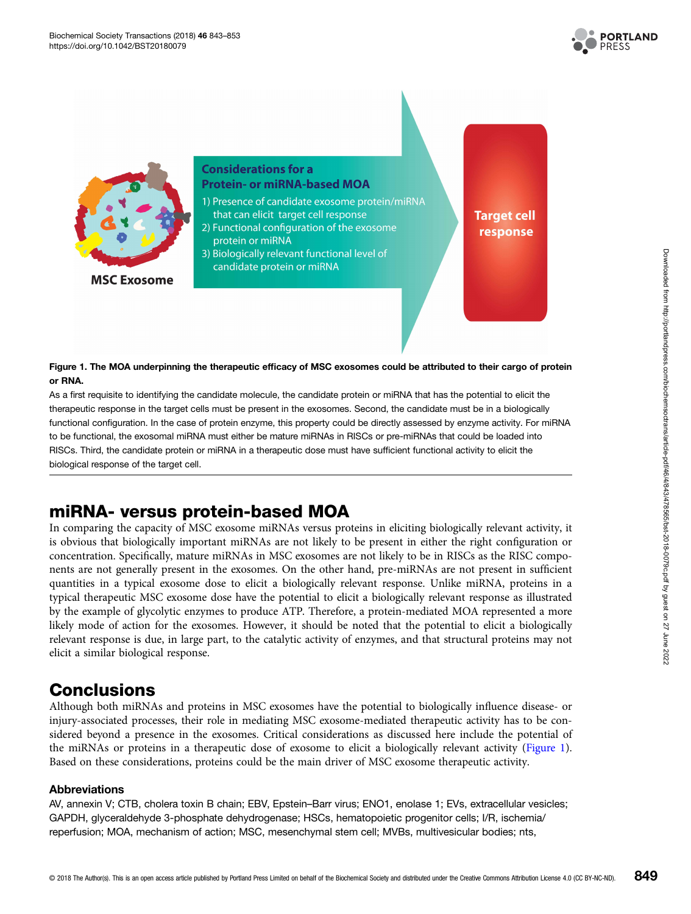



**MSC Exosome** 

## **Considerations for a Protein- or miRNA-based MOA**

- 1) Presence of candidate exosome protein/miRNA that can elicit target cell response
- 2) Functional configuration of the exosome protein or miRNA
- 3) Biologically relevant functional level of candidate protein or miRNA

**Target cell** response

#### Figure 1. The MOA underpinning the therapeutic efficacy of MSC exosomes could be attributed to their cargo of protein or RNA.

As a first requisite to identifying the candidate molecule, the candidate protein or miRNA that has the potential to elicit the therapeutic response in the target cells must be present in the exosomes. Second, the candidate must be in a biologically functional configuration. In the case of protein enzyme, this property could be directly assessed by enzyme activity. For miRNA to be functional, the exosomal miRNA must either be mature miRNAs in RISCs or pre-miRNAs that could be loaded into RISCs. Third, the candidate protein or miRNA in a therapeutic dose must have sufficient functional activity to elicit the biological response of the target cell.

# miRNA- versus protein-based MOA

In comparing the capacity of MSC exosome miRNAs versus proteins in eliciting biologically relevant activity, it is obvious that biologically important miRNAs are not likely to be present in either the right configuration or concentration. Specifically, mature miRNAs in MSC exosomes are not likely to be in RISCs as the RISC components are not generally present in the exosomes. On the other hand, pre-miRNAs are not present in sufficient quantities in a typical exosome dose to elicit a biologically relevant response. Unlike miRNA, proteins in a typical therapeutic MSC exosome dose have the potential to elicit a biologically relevant response as illustrated by the example of glycolytic enzymes to produce ATP. Therefore, a protein-mediated MOA represented a more likely mode of action for the exosomes. However, it should be noted that the potential to elicit a biologically relevant response is due, in large part, to the catalytic activity of enzymes, and that structural proteins may not elicit a similar biological response.

## **Conclusions**

Although both miRNAs and proteins in MSC exosomes have the potential to biologically influence disease- or injury-associated processes, their role in mediating MSC exosome-mediated therapeutic activity has to be considered beyond a presence in the exosomes. Critical considerations as discussed here include the potential of the miRNAs or proteins in a therapeutic dose of exosome to elicit a biologically relevant activity (Figure 1). Based on these considerations, proteins could be the main driver of MSC exosome therapeutic activity.

### Abbreviations

AV, annexin V; CTB, cholera toxin B chain; EBV, Epstein–Barr virus; ENO1, enolase 1; EVs, extracellular vesicles; GAPDH, glyceraldehyde 3-phosphate dehydrogenase; HSCs, hematopoietic progenitor cells; I/R, ischemia/ reperfusion; MOA, mechanism of action; MSC, mesenchymal stem cell; MVBs, multivesicular bodies; nts,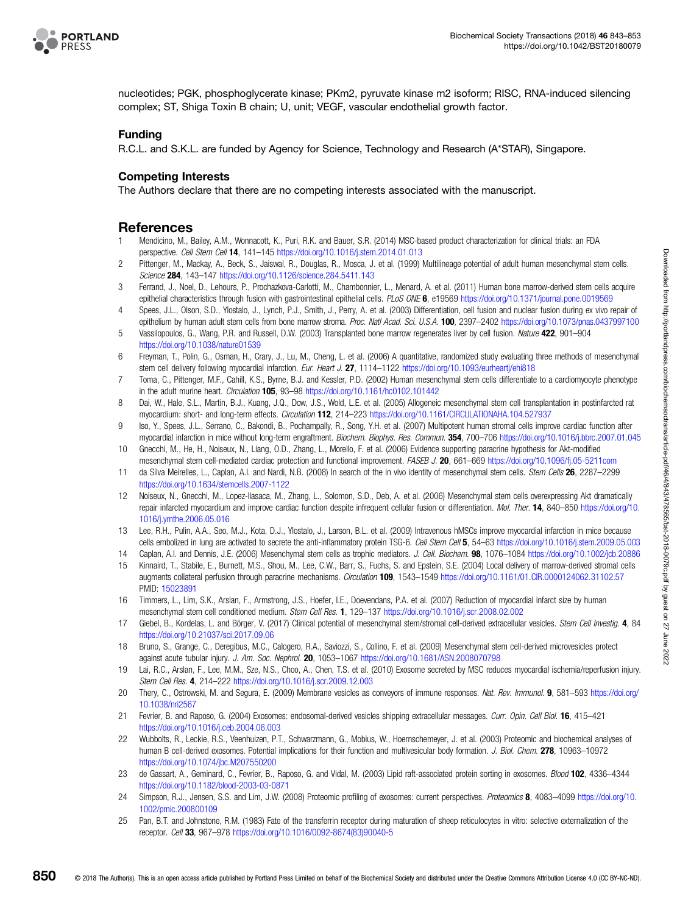

<span id="page-7-0"></span>

nucleotides; PGK, phosphoglycerate kinase; PKm2, pyruvate kinase m2 isoform; RISC, RNA-induced silencing complex; ST, Shiga Toxin B chain; U, unit; VEGF, vascular endothelial growth factor.

#### Funding

R.C.L. and S.K.L. are funded by Agency for Science, Technology and Research (A\*STAR), Singapore.

#### Competing Interests

The Authors declare that there are no competing interests associated with the manuscript.

#### References

- 1 Mendicino, M., Bailey, A.M., Wonnacott, K., Puri, R.K. and Bauer, S.R. (2014) MSC-based product characterization for clinical trials: an FDA perspective. Cell Stem Cell 14, 141–145 <https://doi.org/10.1016/j.stem.2014.01.013>
- 2 Pittenger, M., Mackay, A., Beck, S., Jaiswal, R., Douglas, R., Mosca, J. et al. (1999) Multilineage potential of adult human mesenchymal stem cells. Science 284, 143–147 <https://doi.org/10.1126/science.284.5411.143>
- 3 Ferrand, J., Noel, D., Lehours, P., Prochazkova-Carlotti, M., Chambonnier, L., Menard, A. et al. (2011) Human bone marrow-derived stem cells acquire epithelial characteristics through fusion with gastrointestinal epithelial cells. PLoS ONE 6, e19569 <https://doi.org/10.1371/journal.pone.0019569>
- 4 Spees, J.L., Olson, S.D., Ylostalo, J., Lynch, P.J., Smith, J., Perry, A. et al. (2003) Differentiation, cell fusion and nuclear fusion during ex vivo repair of epithelium by human adult stem cells from bone marrow stroma. Proc. Natl Acad. Sci. U.S.A. 100, 2397-2402 <https://doi.org/10.1073/pnas.0437997100>
- 5 Vassilopoulos, G., Wang, P.R. and Russell, D.W. (2003) Transplanted bone marrow regenerates liver by cell fusion. Nature 422, 901–904 <https://doi.org/10.1038/nature01539>
- 6 Freyman, T., Polin, G., Osman, H., Crary, J., Lu, M., Cheng, L. et al. (2006) A quantitative, randomized study evaluating three methods of mesenchymal stem cell delivery following myocardial infarction. Eur. Heart J. 27, 1114-1122 <https://doi.org/10.1093/eurheartj/ehi818>
- 7 Toma, C., Pittenger, M.F., Cahill, K.S., Byrne, B.J. and Kessler, P.D. (2002) Human mesenchymal stem cells differentiate to a cardiomyocyte phenotype in the adult murine heart. Circulation 105, 93-98 <https://doi.org/10.1161/hc0102.101442>
- 8 Dai, W., Hale, S.L., Martin, B.J., Kuang, J.Q., Dow, J.S., Wold, L.E. et al. (2005) Allogeneic mesenchymal stem cell transplantation in postinfarcted rat myocardium: short- and long-term effects. Circulation 112, 214–223 <https://doi.org/10.1161/CIRCULATIONAHA.104.527937>
- 9 Iso, Y., Spees, J.L., Serrano, C., Bakondi, B., Pochampally, R., Song, Y.H. et al. (2007) Multipotent human stromal cells improve cardiac function after myocardial infarction in mice without long-term engraftment. Biochem. Biophys. Res. Commun. 354, 700–706 <https://doi.org/10.1016/j.bbrc.2007.01.045>
- 10 Gnecchi, M., He, H., Noiseux, N., Liang, O.D., Zhang, L., Morello, F. et al. (2006) Evidence supporting paracrine hypothesis for Akt-modified mesenchymal stem cell-mediated cardiac protection and functional improvement. FASEB J. 20, 661–669 <https://doi.org/10.1096/fj.05-5211com>
- 11 da Silva Meirelles, L., Caplan, A.I. and Nardi, N.B. (2008) In search of the in vivo identity of mesenchymal stem cells. Stem Cells 26, 2287–2299 <https://doi.org/10.1634/stemcells.2007-1122>
- 12 Noiseux, N., Gnecchi, M., Lopez-Ilasaca, M., Zhang, L., Solomon, S.D., Deb, A. et al. (2006) Mesenchymal stem cells overexpressing Akt dramatically repair infarcted myocardium and improve cardiac function despite infrequent cellular fusion or differentiation. Mol. Ther. 14, 840-850 [https://doi.org/10.](https://doi.org/10.1016/j.ymthe.2006.05.016) [1016/j.ymthe.2006.05.016](https://doi.org/10.1016/j.ymthe.2006.05.016)
- 13 Lee, R.H., Pulin, A.A., Seo, M.J., Kota, D.J., Ylostalo, J., Larson, B.L. et al. (2009) Intravenous hMSCs improve myocardial infarction in mice because cells embolized in lung are activated to secrete the anti-inflammatory protein TSG-6. Cell Stem Cell 5, 54–63 <https://doi.org/10.1016/j.stem.2009.05.003>
- 14 Caplan, A.I. and Dennis, J.E. (2006) Mesenchymal stem cells as trophic mediators. J. Cell. Biochem. 98, 1076–1084 <https://doi.org/10.1002/jcb.20886>
- 15 Kinnaird, T., Stabile, E., Burnett, M.S., Shou, M., Lee, C.W., Barr, S., Fuchs, S. and Epstein, S.E. (2004) Local delivery of marrow-derived stromal cells augments collateral perfusion through paracrine mechanisms. Circulation 109, 1543-1549 <https://doi.org/10.1161/01.CIR.0000124062.31102.57> PMID: [15023891](http://www.ncbi.nlm.nih.gov/pubmed/15023891)
- 16 Timmers, L., Lim, S.K., Arslan, F., Armstrong, J.S., Hoefer, I.E., Doevendans, P.A. et al. (2007) Reduction of myocardial infarct size by human mesenchymal stem cell conditioned medium. Stem Cell Res. 1, 129–137 <https://doi.org/10.1016/j.scr.2008.02.002>
- 17 Giebel, B., Kordelas, L. and Börger, V. (2017) Clinical potential of mesenchymal stem/stromal cell-derived extracellular vesicles. Stem Cell Investig. 4, 84 <https://doi.org/10.21037/sci.2017.09.06>
- 18 Bruno, S., Grange, C., Deregibus, M.C., Calogero, R.A., Saviozzi, S., Collino, F. et al. (2009) Mesenchymal stem cell-derived microvesicles protect against acute tubular injury. J. Am. Soc. Nephrol. 20, 1053–1067 <https://doi.org/10.1681/ASN.2008070798>
- 19 Lai, R.C., Arslan, F., Lee, M.M., Sze, N.S., Choo, A., Chen, T.S. et al. (2010) Exosome secreted by MSC reduces myocardial ischemia/reperfusion injury. Stem Cell Res. 4, 214–222 <https://doi.org/10.1016/j.scr.2009.12.003>
- 20 Thery, C., Ostrowski, M. and Segura, E. (2009) Membrane vesicles as conveyors of immune responses. Nat. Rev. Immunol. 9, 581-593 [https://doi.org/](https://doi.org/10.1038/nri2567) [10.1038/nri2567](https://doi.org/10.1038/nri2567)
- 21 Fevrier, B. and Raposo, G. (2004) Exosomes: endosomal-derived vesicles shipping extracellular messages. Curr. Opin. Cell Biol. 16, 415–421 <https://doi.org/10.1016/j.ceb.2004.06.003>
- 22 Wubbolts, R., Leckie, R.S., Veenhuizen, P.T., Schwarzmann, G., Mobius, W., Hoernschemeyer, J. et al. (2003) Proteomic and biochemical analyses of human B cell-derived exosomes. Potential implications for their function and multivesicular body formation. J. Biol. Chem. 278, 10963-10972 <https://doi.org/10.1074/jbc.M207550200>
- 23 de Gassart, A., Geminard, C., Fevrier, B., Raposo, G. and Vidal, M. (2003) Lipid raft-associated protein sorting in exosomes. Blood 102, 4336-4344 <https://doi.org/10.1182/blood-2003-03-0871>
- 24 Simpson, R.J., Jensen, S.S. and Lim, J.W. (2008) Proteomic profiling of exosomes: current perspectives. Proteomics 8, 4083-4099 [https://doi.org/10.](https://doi.org/10.1002/pmic.200800109) [1002/pmic.200800109](https://doi.org/10.1002/pmic.200800109)
- 25 Pan, B.T. and Johnstone, R.M. (1983) Fate of the transferrin receptor during maturation of sheep reticulocytes in vitro: selective externalization of the receptor. Cell 33, 967–978 [https://doi.org/10.1016/0092-8674\(83\)90040-5](https://doi.org/10.1016/0092-8674(83)90040-5)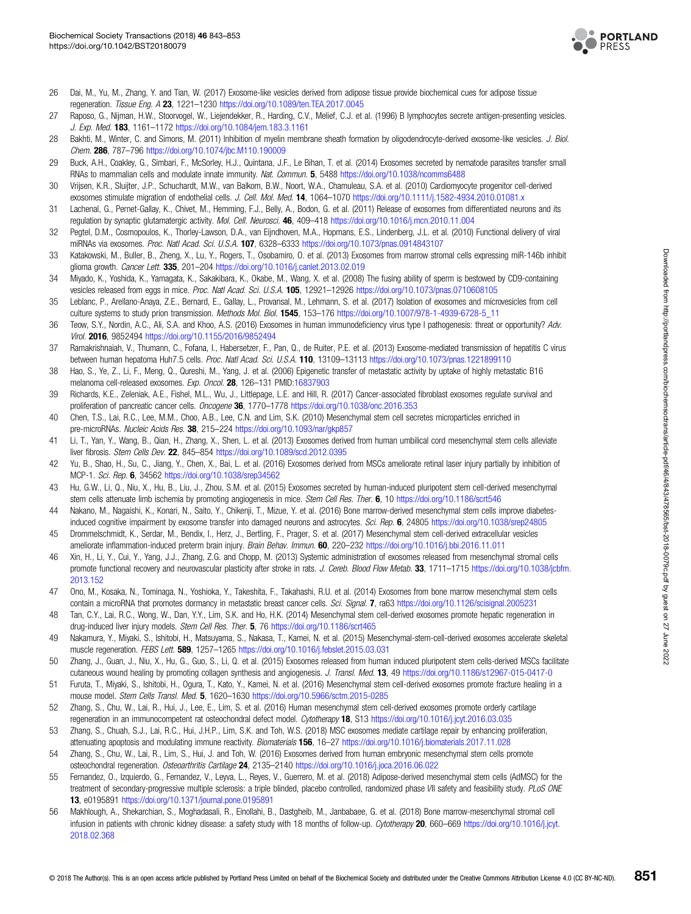

- <span id="page-8-0"></span>26 Dai, M., Yu, M., Zhang, Y. and Tian, W. (2017) Exosome-like vesicles derived from adipose tissue provide biochemical cues for adipose tissue regeneration. Tissue Eng. A 23, 1221–1230 <https://doi.org/10.1089/ten.TEA.2017.0045>
- 27 Raposo, G., Nijman, H.W., Stoorvogel, W., Liejendekker, R., Harding, C.V., Melief, C.J. et al. (1996) B lymphocytes secrete antigen-presenting vesicles. J. Exp. Med. 183, 1161–1172 <https://doi.org/10.1084/jem.183.3.1161>
- 28 Bakhti, M., Winter, C. and Simons, M. (2011) Inhibition of myelin membrane sheath formation by oligodendrocyte-derived exosome-like vesicles. J. Biol. Chem. 286, 787–796 <https://doi.org/10.1074/jbc.M110.190009>
- 29 Buck, A.H., Coakley, G., Simbari, F., McSorley, H.J., Quintana, J.F., Le Bihan, T. et al. (2014) Exosomes secreted by nematode parasites transfer small RNAs to mammalian cells and modulate innate immunity. Nat. Commun. 5, 5488 <https://doi.org/10.1038/ncomms6488>
- 30 Vrijsen, K.R., Sluijter, J.P., Schuchardt, M.W., van Balkom, B.W., Noort, W.A., Chamuleau, S.A. et al. (2010) Cardiomyocyte progenitor cell-derived exosomes stimulate migration of endothelial cells. J. Cell. Mol. Med. 14, 1064–1070 <https://doi.org/10.1111/j.1582-4934.2010.01081.x>
- 31 Lachenal, G., Pernet-Gallay, K., Chivet, M., Hemming, F.J., Belly, A., Bodon, G. et al. (2011) Release of exosomes from differentiated neurons and its regulation by synaptic glutamatergic activity. Mol. Cell. Neurosci. 46, 409-418 <https://doi.org/10.1016/j.mcn.2010.11.004>
- 32 Pegtel, D.M., Cosmopoulos, K., Thorley-Lawson, D.A., van Eijndhoven, M.A., Hopmans, E.S., Lindenberg, J.L. et al. (2010) Functional delivery of viral miRNAs via exosomes. Proc. Natl Acad. Sci. U.S.A. 107, 6328–6333 <https://doi.org/10.1073/pnas.0914843107>
- 33 Katakowski, M., Buller, B., Zheng, X., Lu, Y., Rogers, T., Osobamiro, O. et al. (2013) Exosomes from marrow stromal cells expressing miR-146b inhibit glioma growth. Cancer Lett. 335, 201-204 <https://doi.org/10.1016/j.canlet.2013.02.019>
- 34 Miyado, K., Yoshida, K., Yamagata, K., Sakakibara, K., Okabe, M., Wang, X. et al. (2008) The fusing ability of sperm is bestowed by CD9-containing vesicles released from eggs in mice. Proc. Natl Acad. Sci. U.S.A. 105, 12921-12926 <https://doi.org/10.1073/pnas.0710608105>
- 35 Leblanc, P., Arellano-Anaya, Z.E., Bernard, E., Gallay, L., Provansal, M., Lehmann, S. et al. (2017) Isolation of exosomes and microvesicles from cell culture systems to study prion transmission. Methods Mol. Biol. 1545, 153–176 [https://doi.org/10.1007/978-1-4939-6728-5\\_11](https://doi.org/10.1007/978-1-4939-6728-5_11)
- 36 Teow, S.Y., Nordin, A.C., Ali, S.A. and Khoo, A.S. (2016) Exosomes in human immunodeficiency virus type I pathogenesis: threat or opportunity? Adv. Virol. 2016, 9852494 <https://doi.org/10.1155/2016/9852494>
- 37 Ramakrishnaiah, V., Thumann, C., Fofana, I., Habersetzer, F., Pan, Q., de Ruiter, P.E. et al. (2013) Exosome-mediated transmission of hepatitis C virus between human hepatoma Huh7.5 cells. Proc. Natl Acad. Sci. U.S.A. 110, 13109–13113 <https://doi.org/10.1073/pnas.1221899110>
- 38 Hao, S., Ye, Z., Li, F., Meng, Q., Qureshi, M., Yang, J. et al. (2006) Epigenetic transfer of metastatic activity by uptake of highly metastatic B16 melanoma cell-released exosomes. Exp. Oncol. 28, 126–131 PMID:[16837903](http://www.ncbi.nlm.nih.gov/pubmed/16837903)
- 39 Richards, K.E., Zeleniak, A.E., Fishel, M.L., Wu, J., Littlepage, L.E. and Hill, R. (2017) Cancer-associated fibroblast exosomes regulate survival and proliferation of pancreatic cancer cells. Oncogene 36, 1770–1778 <https://doi.org/10.1038/onc.2016.353>
- 40 Chen, T.S., Lai, R.C., Lee, M.M., Choo, A.B., Lee, C.N. and Lim, S.K. (2010) Mesenchymal stem cell secretes microparticles enriched in pre-microRNAs. Nucleic Acids Res. 38, 215-224 <https://doi.org/10.1093/nar/gkp857>
- 41 Li, T., Yan, Y., Wang, B., Qian, H., Zhang, X., Shen, L. et al. (2013) Exosomes derived from human umbilical cord mesenchymal stem cells alleviate liver fibrosis. Stem Cells Dev. 22, 845–854 <https://doi.org/10.1089/scd.2012.0395>
- 42 Yu, B., Shao, H., Su, C., Jiang, Y., Chen, X., Bai, L. et al. (2016) Exosomes derived from MSCs ameliorate retinal laser injury partially by inhibition of MCP-1. Sci. Rep. 6, 34562 <https://doi.org/10.1038/srep34562>
- 43 Hu, G.W., Li, Q., Niu, X., Hu, B., Liu, J., Zhou, S.M. et al. (2015) Exosomes secreted by human-induced pluripotent stem cell-derived mesenchymal stem cells attenuate limb ischemia by promoting angiogenesis in mice. Stem Cell Res. Ther. 6, 10 <https://doi.org/10.1186/scrt546>
- 44 Nakano, M., Nagaishi, K., Konari, N., Saito, Y., Chikenji, T., Mizue, Y. et al. (2016) Bone marrow-derived mesenchymal stem cells improve diabetesinduced cognitive impairment by exosome transfer into damaged neurons and astrocytes. Sci. Rep. 6, 24805 <https://doi.org/10.1038/srep24805>
- 45 Drommelschmidt, K., Serdar, M., Bendix, I., Herz, J., Bertling, F., Prager, S. et al. (2017) Mesenchymal stem cell-derived extracellular vesicles ameliorate inflammation-induced preterm brain injury. Brain Behav. Immun. 60, 220–232 <https://doi.org/10.1016/j.bbi.2016.11.011>
- 46 Xin, H., Li, Y., Cui, Y., Yang, J.J., Zhang, Z.G. and Chopp, M. (2013) Systemic administration of exosomes released from mesenchymal stromal cells promote functional recovery and neurovascular plasticity after stroke in rats. J. Cereb. Blood Flow Metab. 33, 1711-1715 [https://doi.org/10.1038/jcbfm.](https://doi.org/10.1038/jcbfm.2013.152) [2013.152](https://doi.org/10.1038/jcbfm.2013.152)
- 47 Ono, M., Kosaka, N., Tominaga, N., Yoshioka, Y., Takeshita, F., Takahashi, R.U. et al. (2014) Exosomes from bone marrow mesenchymal stem cells contain a microRNA that promotes dormancy in metastatic breast cancer cells. Sci. Signal. 7, ra63 <https://doi.org/10.1126/scisignal.2005231>
- 48 Tan, C.Y., Lai, R.C., Wong, W., Dan, Y.Y., Lim, S.K. and Ho, H.K. (2014) Mesenchymal stem cell-derived exosomes promote hepatic regeneration in drug-induced liver injury models. Stem Cell Res. Ther. 5, 76 <https://doi.org/10.1186/scrt465>
- 49 Nakamura, Y., Miyaki, S., Ishitobi, H., Matsuyama, S., Nakasa, T., Kamei, N. et al. (2015) Mesenchymal-stem-cell-derived exosomes accelerate skeletal muscle regeneration. FEBS Lett. 589, 1257–1265 <https://doi.org/10.1016/j.febslet.2015.03.031>
- 50 Zhang, J., Guan, J., Niu, X., Hu, G., Guo, S., Li, Q. et al. (2015) Exosomes released from human induced pluripotent stem cells-derived MSCs facilitate cutaneous wound healing by promoting collagen synthesis and angiogenesis. J. Transl. Med. 13, 49 <https://doi.org/10.1186/s12967-015-0417-0>
- 51 Furuta, T., Miyaki, S., Ishitobi, H., Ogura, T., Kato, Y., Kamei, N. et al. (2016) Mesenchymal stem cell-derived exosomes promote fracture healing in a mouse model. Stem Cells Transl. Med. 5, 1620–1630 <https://doi.org/10.5966/sctm.2015-0285>
- 52 Zhang, S., Chu, W., Lai, R., Hui, J., Lee, E., Lim, S. et al. (2016) Human mesenchymal stem cell-derived exosomes promote orderly cartilage regeneration in an immunocompetent rat osteochondral defect model. Cytotherapy 18, S13 <https://doi.org/10.1016/j.jcyt.2016.03.035>
- 53 Zhang, S., Chuah, S.J., Lai, R.C., Hui, J.H.P., Lim, S.K. and Toh, W.S. (2018) MSC exosomes mediate cartilage repair by enhancing proliferation, attenuating apoptosis and modulating immune reactivity. Biomaterials 156, 16–27 <https://doi.org/10.1016/j.biomaterials.2017.11.028>
- 54 Zhang, S., Chu, W., Lai, R., Lim, S., Hui, J. and Toh, W. (2016) Exosomes derived from human embryonic mesenchymal stem cells promote osteochondral regeneration. Osteoarthritis Cartilage 24, 2135–2140 <https://doi.org/10.1016/j.joca.2016.06.022>
- 55 Fernandez, O., Izquierdo, G., Fernandez, V., Leyva, L., Reyes, V., Guerrero, M. et al. (2018) Adipose-derived mesenchymal stem cells (AdMSC) for the treatment of secondary-progressive multiple sclerosis: a triple blinded, placebo controlled, randomized phase I/II safety and feasibility study. PLoS ONE 13, e0195891 <https://doi.org/10.1371/journal.pone.0195891>
- 56 Makhlough, A., Shekarchian, S., Moghadasali, R., Einollahi, B., Dastgheib, M., Janbabaee, G. et al. (2018) Bone marrow-mesenchymal stromal cell infusion in patients with chronic kidney disease: a safety study with 18 months of follow-up. Cytotherapy 20, 660–669 [https://doi.org/10.1016/j.jcyt.](https://doi.org/10.1016/j.jcyt.2018.02.368) [2018.02.368](https://doi.org/10.1016/j.jcyt.2018.02.368)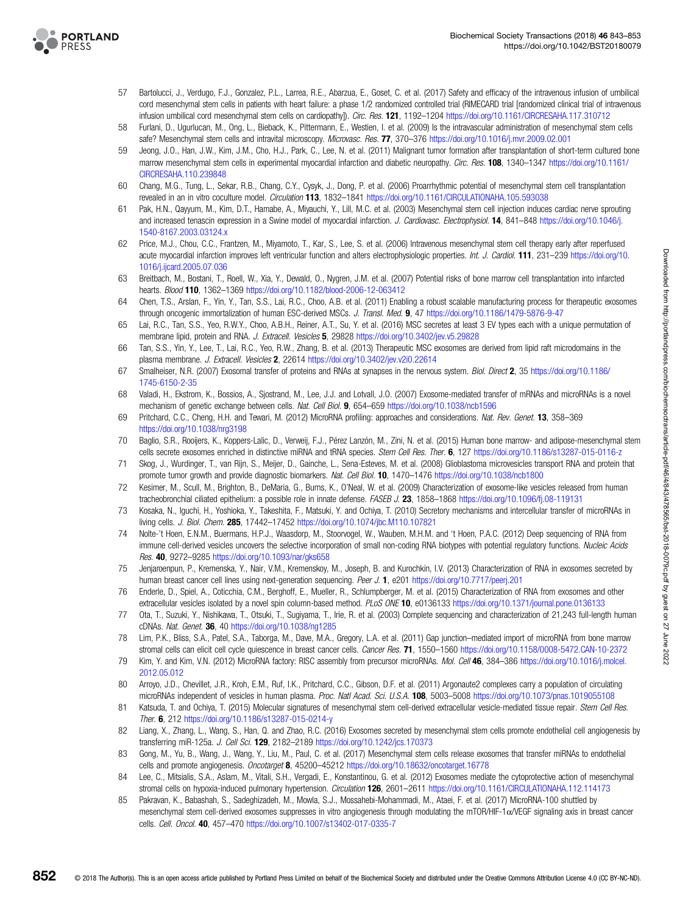<span id="page-9-0"></span>

- 57 Bartolucci, J., Verdugo, F.J., Gonzalez, P.L., Larrea, R.E., Abarzua, E., Goset, C. et al. (2017) Safety and efficacy of the intravenous infusion of umbilical cord mesenchymal stem cells in patients with heart failure: a phase 1/2 randomized controlled trial (RIMECARD trial [randomized clinical trial of intravenous infusion umbilical cord mesenchymal stem cells on cardiopathy]). Circ. Res. 121, 1192-1204 <https://doi.org/10.1161/CIRCRESAHA.117.310712>
- 58 Furlani, D., Ugurlucan, M., Ong, L., Bieback, K., Pittermann, E., Westien, I. et al. (2009) Is the intravascular administration of mesenchymal stem cells safe? Mesenchymal stem cells and intravital microscopy. Microvasc. Res. 77, 370–376 <https://doi.org/10.1016/j.mvr.2009.02.001>
- 59 Jeong, J.O., Han, J.W., Kim, J.M., Cho, H.J., Park, C., Lee, N. et al. (2011) Malignant tumor formation after transplantation of short-term cultured bone marrow mesenchymal stem cells in experimental myocardial infarction and diabetic neuropathy. Circ. Res. 108, 1340–1347 [https://doi.org/10.1161/](https://doi.org/10.1161/CIRCRESAHA.110.239848) [CIRCRESAHA.110.239848](https://doi.org/10.1161/CIRCRESAHA.110.239848)
- 60 Chang, M.G., Tung, L., Sekar, R.B., Chang, C.Y., Cysyk, J., Dong, P. et al. (2006) Proarrhythmic potential of mesenchymal stem cell transplantation revealed in an in vitro coculture model. Circulation 113, 1832-1841 <https://doi.org/10.1161/CIRCULATIONAHA.105.593038>
- 61 Pak, H.N., Qayyum, M., Kim, D.T., Hamabe, A., Miyauchi, Y., Lill, M.C. et al. (2003) Mesenchymal stem cell injection induces cardiac nerve sprouting and increased tenascin expression in a Swine model of myocardial infarction. J. Cardiovasc. Electrophysiol. 14, 841-848 [https://doi.org/10.1046/j.](https://doi.org/10.1046/j.1540-8167.2003.03124.x) [1540-8167.2003.03124.x](https://doi.org/10.1046/j.1540-8167.2003.03124.x)
- 62 Price, M.J., Chou, C.C., Frantzen, M., Miyamoto, T., Kar, S., Lee, S. et al. (2006) Intravenous mesenchymal stem cell therapy early after reperfused acute myocardial infarction improves left ventricular function and alters electrophysiologic properties. Int. J. Cardiol. 111, 231–239 [https://doi.org/10.](https://doi.org/10.1016/j.ijcard.2005.07.036) [1016/j.ijcard.2005.07.036](https://doi.org/10.1016/j.ijcard.2005.07.036)
- 63 Breitbach, M., Bostani, T., Roell, W., Xia, Y., Dewald, O., Nygren, J.M. et al. (2007) Potential risks of bone marrow cell transplantation into infarcted hearts. Blood 110, 1362–1369 <https://doi.org/10.1182/blood-2006-12-063412>
- 64 Chen, T.S., Arslan, F., Yin, Y., Tan, S.S., Lai, R.C., Choo, A.B. et al. (2011) Enabling a robust scalable manufacturing process for therapeutic exosomes through oncogenic immortalization of human ESC-derived MSCs. J. Transl. Med. 9, 47 <https://doi.org/10.1186/1479-5876-9-47>
- 65 Lai, R.C., Tan, S.S., Yeo, R.W.Y., Choo, A.B.H., Reiner, A.T., Su, Y. et al. (2016) MSC secretes at least 3 EV types each with a unique permutation of membrane lipid, protein and RNA. J. Extracell. Vesicles 5, 29828 <https://doi.org/10.3402/jev.v5.29828>
- 66 Tan, S.S., Yin, Y., Lee, T., Lai, R.C., Yeo, R.W., Zhang, B. et al. (2013) Therapeutic MSC exosomes are derived from lipid raft microdomains in the plasma membrane. J. Extracell. Vesicles 2, 22614 <https://doi.org/10.3402/jev.v2i0.22614>
- 67 Smalheiser, N.R. (2007) Exosomal transfer of proteins and RNAs at synapses in the nervous system. Biol. Direct 2, 35 [https://doi.org/10.1186/](https://doi.org/10.1186/1745-6150-2-35) [1745-6150-2-35](https://doi.org/10.1186/1745-6150-2-35)
- 68 Valadi, H., Ekstrom, K., Bossios, A., Sjostrand, M., Lee, J.J. and Lotvall, J.O. (2007) Exosome-mediated transfer of mRNAs and microRNAs is a novel mechanism of genetic exchange between cells. Nat. Cell Biol. 9, 654-659 <https://doi.org/10.1038/ncb1596>
- 69 Pritchard, C.C., Cheng, H.H. and Tewari, M. (2012) MicroRNA profiling: approaches and considerations. Nat. Rev. Genet. 13, 358–369 <https://doi.org/10.1038/nrg3198>
- 70 Baglio, S.R., Rooijers, K., Koppers-Lalic, D., Verweij, F.J., Pérez Lanzón, M., Zini, N. et al. (2015) Human bone marrow- and adipose-mesenchymal stem cells secrete exosomes enriched in distinctive miRNA and tRNA species. Stem Cell Res. Ther. 6, 127 <https://doi.org/10.1186/s13287-015-0116-z>
- 71 Skog, J., Wurdinger, T., van Rijn, S., Meijer, D., Gainche, L., Sena-Esteves, M. et al. (2008) Glioblastoma microvesicles transport RNA and protein that promote tumor growth and provide diagnostic biomarkers. Nat. Cell Biol. 10, 1470–1476 <https://doi.org/10.1038/ncb1800>
- 72 Kesimer, M., Scull, M., Brighton, B., DeMaria, G., Burns, K., O'Neal, W. et al. (2009) Characterization of exosome-like vesicles released from human tracheobronchial ciliated epithelium: a possible role in innate defense. FASEB J. 23, 1858–1868 <https://doi.org/10.1096/fj.08-119131>
- 73 Kosaka, N., Iguchi, H., Yoshioka, Y., Takeshita, F., Matsuki, Y. and Ochiya, T. (2010) Secretory mechanisms and intercellular transfer of microRNAs in living cells. J. Biol. Chem. 285, 17442–17452 <https://doi.org/10.1074/jbc.M110.107821>
- 74 Nolte-'t Hoen, E.N.M., Buermans, H.P.J., Waasdorp, M., Stoorvogel, W., Wauben, M.H.M. and 't Hoen, P.A.C. (2012) Deep sequencing of RNA from immune cell-derived vesicles uncovers the selective incorporation of small non-coding RNA biotypes with potential regulatory functions. Nucleic Acids Res. 40, 9272–9285 <https://doi.org/10.1093/nar/gks658>
- 75 Jenjaroenpun, P., Kremenska, Y., Nair, V.M., Kremenskoy, M., Joseph, B. and Kurochkin, I.V. (2013) Characterization of RNA in exosomes secreted by human breast cancer cell lines using next-generation sequencing. Peer J. 1, e201 <https://doi.org/10.7717/peerj.201>
- 76 Enderle, D., Spiel, A., Coticchia, C.M., Berghoff, E., Mueller, R., Schlumpberger, M. et al. (2015) Characterization of RNA from exosomes and other extracellular vesicles isolated by a novel spin column-based method. PLoS ONE 10, e0136133 <https://doi.org/10.1371/journal.pone.0136133>
- 77 Ota, T., Suzuki, Y., Nishikawa, T., Otsuki, T., Sugiyama, T., Irie, R. et al. (2003) Complete sequencing and characterization of 21,243 full-length human cDNAs. Nat. Genet. 36, 40 <https://doi.org/10.1038/ng1285>
- 78 Lim, P.K., Bliss, S.A., Patel, S.A., Taborga, M., Dave, M.A., Gregory, L.A. et al. (2011) Gap junction–mediated import of microRNA from bone marrow stromal cells can elicit cell cycle quiescence in breast cancer cells. Cancer Res. 71, 1550–1560 <https://doi.org/10.1158/0008-5472.CAN-10-2372>
- 79 Kim, Y. and Kim, V.N. (2012) MicroRNA factory: RISC assembly from precursor microRNAs. Mol. Cell 46, 384-386 [https://doi.org/10.1016/j.molcel.](https://doi.org/10.1016/j.molcel.2012.05.012) [2012.05.012](https://doi.org/10.1016/j.molcel.2012.05.012)
- 80 Arroyo, J.D., Chevillet, J.R., Kroh, E.M., Ruf, I.K., Pritchard, C.C., Gibson, D.F. et al. (2011) Argonaute2 complexes carry a population of circulating microRNAs independent of vesicles in human plasma. Proc. Natl Acad. Sci. U.S.A. 108, 5003-5008 <https://doi.org/10.1073/pnas.1019055108>
- 81 Katsuda, T. and Ochiya, T. (2015) Molecular signatures of mesenchymal stem cell-derived extracellular vesicle-mediated tissue repair. Stem Cell Res. Ther. 6, 212 <https://doi.org/10.1186/s13287-015-0214-y>
- 82 Liang, X., Zhang, L., Wang, S., Han, Q. and Zhao, R.C. (2016) Exosomes secreted by mesenchymal stem cells promote endothelial cell angiogenesis by transferring miR-125a. J. Cell Sci. 129, 2182-2189 <https://doi.org/10.1242/jcs.170373>
- 83 Gong, M., Yu, B., Wang, J., Wang, Y., Liu, M., Paul, C. et al. (2017) Mesenchymal stem cells release exosomes that transfer miRNAs to endothelial cells and promote angiogenesis. Oncotarget 8, 45200-45212 <https://doi.org/10.18632/oncotarget.16778>
- 84 Lee, C., Mitsialis, S.A., Aslam, M., Vitali, S.H., Vergadi, E., Konstantinou, G. et al. (2012) Exosomes mediate the cytoprotective action of mesenchymal stromal cells on hypoxia-induced pulmonary hypertension. Circulation 126, 2601–2611 <https://doi.org/10.1161/CIRCULATIONAHA.112.114173>
- 85 Pakravan, K., Babashah, S., Sadeghizadeh, M., Mowla, S.J., Mossahebi-Mohammadi, M., Ataei, F. et al. (2017) MicroRNA-100 shuttled by mesenchymal stem cell-derived exosomes suppresses in vitro angiogenesis through modulating the mTOR/HIF-1α/VEGF signaling axis in breast cancer cells. Cell. Oncol. 40, 457–470 <https://doi.org/10.1007/s13402-017-0335-7>